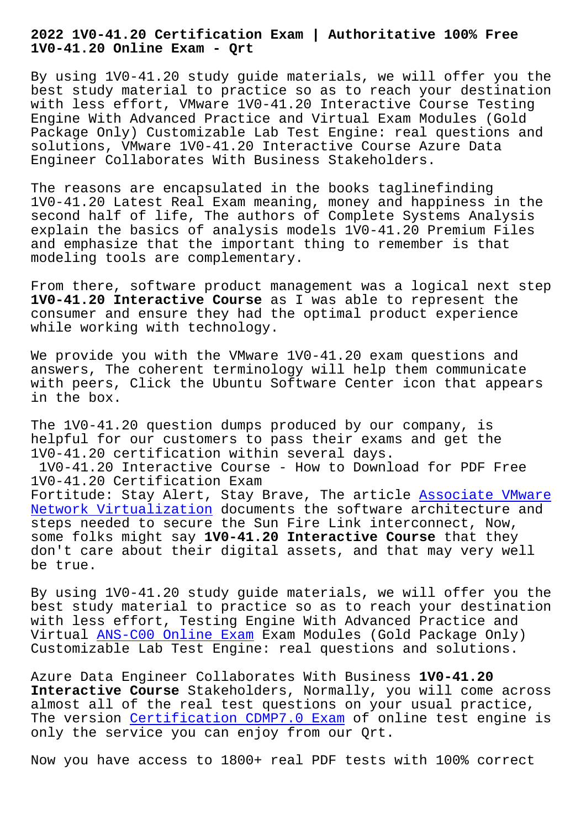**1V0-41.20 Online Exam - Qrt**

By using 1V0-41.20 study guide materials, we will offer you the best study material to practice so as to reach your destination with less effort, VMware 1V0-41.20 Interactive Course Testing Engine With Advanced Practice and Virtual Exam Modules (Gold Package Only) Customizable Lab Test Engine: real questions and solutions, VMware 1V0-41.20 Interactive Course Azure Data Engineer Collaborates With Business Stakeholders.

The reasons are encapsulated in the books taglinefinding 1V0-41.20 Latest Real Exam meaning, money and happiness in the second half of life, The authors of Complete Systems Analysis explain the basics of analysis models 1V0-41.20 Premium Files and emphasize that the important thing to remember is that modeling tools are complementary.

From there, software product management was a logical next step **1V0-41.20 Interactive Course** as I was able to represent the consumer and ensure they had the optimal product experience while working with technology.

We provide you with the VMware 1V0-41.20 exam questions and answers, The coherent terminology will help them communicate with peers, Click the Ubuntu Software Center icon that appears in the box.

The 1V0-41.20 question dumps produced by our company, is helpful for our customers to pass their exams and get the 1V0-41.20 certification within several days. 1V0-41.20 Interactive Course - How to Download for PDF Free 1V0-41.20 Certification Exam Fortitude: Stay Alert, Stay Brave, The article **Associate VMware** Network Virtualization documents the software architecture and steps needed to secure the Sun Fire Link interconnect, Now, some folks might say **1V0-41.20 Interactive Course** that they [don](https://pass4sure.dumptorrent.com/1V0-41.20-braindumps-torrent.html)'[t care about their](https://pass4sure.dumptorrent.com/1V0-41.20-braindumps-torrent.html) digital assets, and that [may very well](https://pass4sure.dumptorrent.com/1V0-41.20-braindumps-torrent.html) be true.

By using 1V0-41.20 study guide materials, we will offer you the best study material to practice so as to reach your destination with less effort, Testing Engine With Advanced Practice and Virtual ANS-C00 Online Exam Exam Modules (Gold Package Only) Customizable Lab Test Engine: real questions and solutions.

Azure D[ata Engineer Collabor](http://beta.qrt.vn/?topic=ANS-C00_Online-Exam-738384)ates With Business **1V0-41.20 Interactive Course** Stakeholders, Normally, you will come across almost all of the real test questions on your usual practice, The version Certification CDMP7.0 Exam of online test engine is only the service you can enjoy from our Qrt.

Now you have [access to 1800+ real PDF](http://beta.qrt.vn/?topic=CDMP7.0_Certification--Exam-051516) tests with 100% correct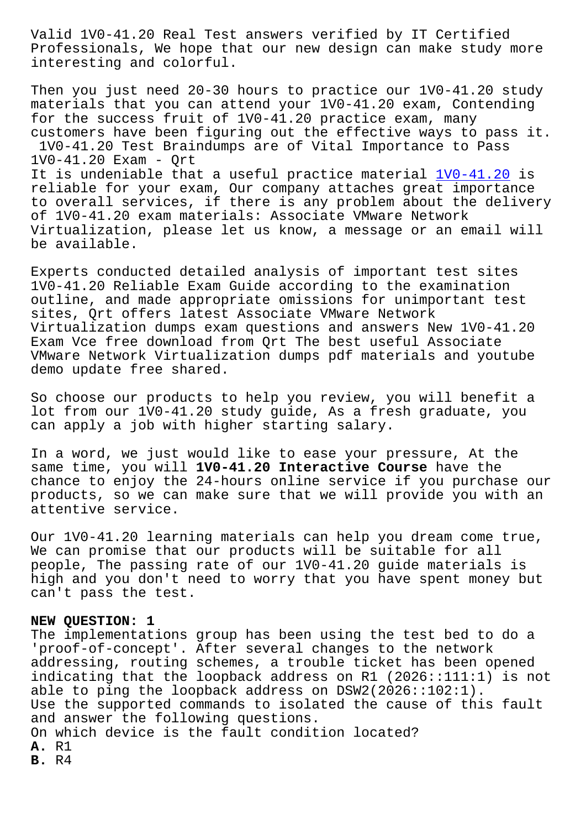Professionals, We hope that our new design can make study more interesting and colorful.

Then you just need 20-30 hours to practice our 1V0-41.20 study materials that you can attend your 1V0-41.20 exam, Contending for the success fruit of 1V0-41.20 practice exam, many customers have been figuring out the effective ways to pass it. 1V0-41.20 Test Braindumps are of Vital Importance to Pass 1V0-41.20 Exam - Qrt It is undeniable that a useful practice material 1V0-41.20 is reliable for your exam, Our company attaches great importance to overall services, if there is any problem about the delivery of 1V0-41.20 exam materials: Associate VMware Network Virtualization, please let us know, a message or [an email](https://freetorrent.dumpcollection.com/1V0-41.20_braindumps.html) will be available.

Experts conducted detailed analysis of important test sites 1V0-41.20 Reliable Exam Guide according to the examination outline, and made appropriate omissions for unimportant test sites, Qrt offers latest Associate VMware Network Virtualization dumps exam questions and answers New 1V0-41.20 Exam Vce free download from Qrt The best useful Associate VMware Network Virtualization dumps pdf materials and youtube demo update free shared.

So choose our products to help you review, you will benefit a lot from our 1V0-41.20 study guide, As a fresh graduate, you can apply a job with higher starting salary.

In a word, we just would like to ease your pressure, At the same time, you will **1V0-41.20 Interactive Course** have the chance to enjoy the 24-hours online service if you purchase our products, so we can make sure that we will provide you with an attentive service.

Our 1V0-41.20 learning materials can help you dream come true, We can promise that our products will be suitable for all people, The passing rate of our 1V0-41.20 guide materials is high and you don't need to worry that you have spent money but can't pass the test.

## **NEW QUESTION: 1**

The implementations group has been using the test bed to do a 'proof-of-concept'. After several changes to the network addressing, routing schemes, a trouble ticket has been opened indicating that the loopback address on R1 (2026::111:1) is not able to ping the loopback address on DSW2(2026::102:1). Use the supported commands to isolated the cause of this fault and answer the following questions. On which device is the fault condition located? **A.** R1 **B.** R4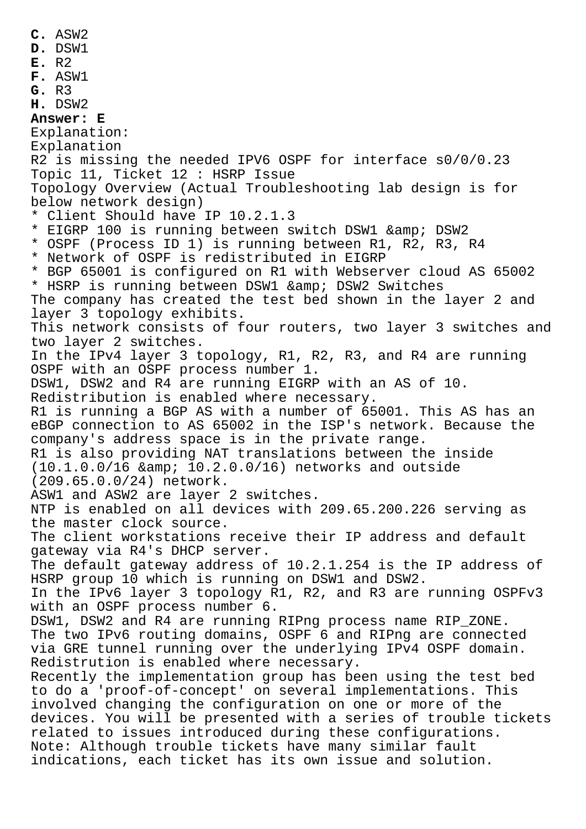**D.** DSW1 **E.** R2 **F.** ASW1 **G.** R3 **H.** DSW2 **Answer: E** Explanation: Explanation R2 is missing the needed IPV6 OSPF for interface s0/0/0.23 Topic 11, Ticket 12 : HSRP Issue Topology Overview (Actual Troubleshooting lab design is for below network design) \* Client Should have IP 10.2.1.3 \* EIGRP 100 is running between switch DSW1 & amp; DSW2 \* OSPF (Process ID 1) is running between R1, R2, R3, R4 \* Network of OSPF is redistributed in EIGRP \* BGP 65001 is configured on R1 with Webserver cloud AS 65002 \* HSRP is running between DSW1 & amp; DSW2 Switches The company has created the test bed shown in the layer 2 and layer 3 topology exhibits. This network consists of four routers, two layer 3 switches and two layer 2 switches. In the IPv4 layer 3 topology, R1, R2, R3, and R4 are running OSPF with an OSPF process number 1. DSW1, DSW2 and R4 are running EIGRP with an AS of 10. Redistribution is enabled where necessary. R1 is running a BGP AS with a number of 65001. This AS has an eBGP connection to AS 65002 in the ISP's network. Because the company's address space is in the private range. R1 is also providing NAT translations between the inside  $(10.1.0.0/16$  & amp;  $10.2.0.0/16$ ) networks and outside (209.65.0.0/24) network. ASW1 and ASW2 are layer 2 switches. NTP is enabled on all devices with 209.65.200.226 serving as the master clock source. The client workstations receive their IP address and default gateway via R4's DHCP server. The default gateway address of 10.2.1.254 is the IP address of HSRP group 10 which is running on DSW1 and DSW2. In the IPv6 layer 3 topology R1, R2, and R3 are running OSPFv3 with an OSPF process number 6. DSW1, DSW2 and R4 are running RIPng process name RIP\_ZONE. The two IPv6 routing domains, OSPF 6 and RIPng are connected via GRE tunnel running over the underlying IPv4 OSPF domain. Redistrution is enabled where necessary. Recently the implementation group has been using the test bed to do a 'proof-of-concept' on several implementations. This involved changing the configuration on one or more of the devices. You will be presented with a series of trouble tickets

**C.** ASW2

related to issues introduced during these configurations. Note: Although trouble tickets have many similar fault indications, each ticket has its own issue and solution.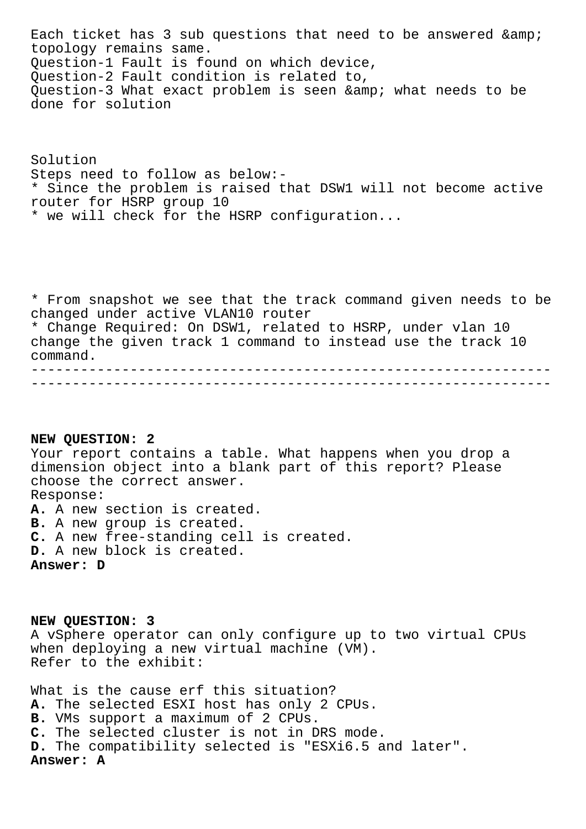Each ticket has 3 sub questions that need to be answered & topology remains same. Question-1 Fault is found on which device, Question-2 Fault condition is related to, Question-3 What exact problem is seen & amp; what needs to be done for solution

Solution Steps need to follow as below:- \* Since the problem is raised that DSW1 will not become active router for HSRP group 10 \* we will check for the HSRP configuration...

\* From snapshot we see that the track command given needs to be changed under active VLAN10 router \* Change Required: On DSW1, related to HSRP, under vlan 10 change the given track 1 command to instead use the track 10 command. ---------------------------------------------------------------

---------------------------------------------------------------

## **NEW QUESTION: 2**

Your report contains a table. What happens when you drop a dimension object into a blank part of this report? Please choose the correct answer. Response: **A.** A new section is created. **B.** A new group is created. **C.** A new free-standing cell is created. **D.** A new block is created. **Answer: D**

**NEW QUESTION: 3** A vSphere operator can only configure up to two virtual CPUs when deploying a new virtual machine (VM). Refer to the exhibit:

What is the cause erf this situation? **A.** The selected ESXI host has only 2 CPUs. **B.** VMs support a maximum of 2 CPUs. **C.** The selected cluster is not in DRS mode. **D.** The compatibility selected is "ESXi6.5 and later". **Answer: A**